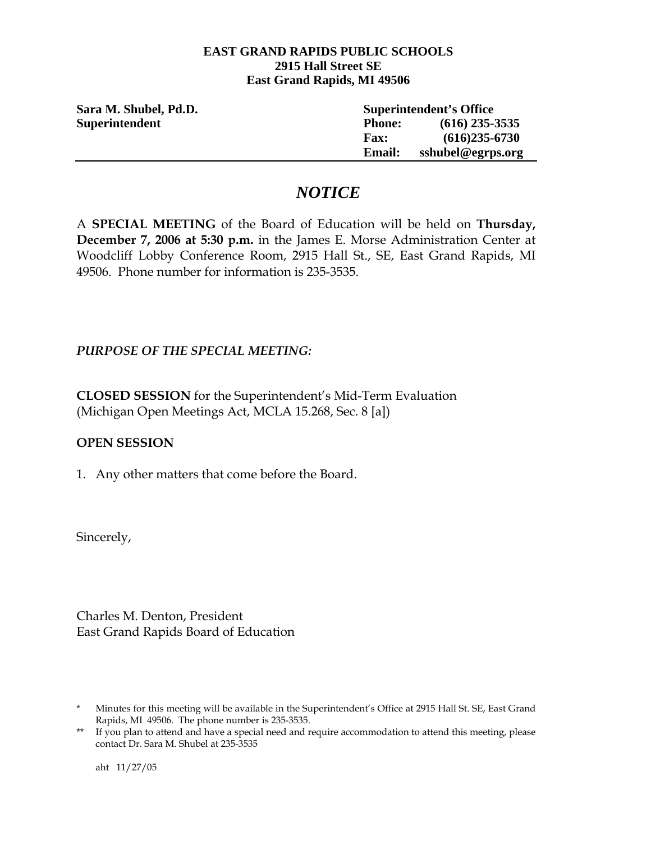#### **EAST GRAND RAPIDS PUBLIC SCHOOLS 2915 Hall Street SE East Grand Rapids, MI 49506**

| Sara M. Shubel, Pd.D. | <b>Superintendent's Office</b> |                   |
|-----------------------|--------------------------------|-------------------|
| <b>Superintendent</b> | <b>Phone:</b>                  | $(616)$ 235-3535  |
|                       | <b>Fax:</b>                    | $(616)235 - 6730$ |
|                       | <b>Email:</b>                  | sshubel@egrps.org |
|                       |                                |                   |

# *NOTICE*

A **SPECIAL MEETING** of the Board of Education will be held on **Thursday, December 7, 2006 at 5:30 p.m.** in the James E. Morse Administration Center at Woodcliff Lobby Conference Room, 2915 Hall St., SE, East Grand Rapids, MI 49506. Phone number for information is 235-3535.

## *PURPOSE OF THE SPECIAL MEETING:*

**CLOSED SESSION** for the Superintendent's Mid-Term Evaluation (Michigan Open Meetings Act, MCLA 15.268, Sec. 8 [a])

### **OPEN SESSION**

1. Any other matters that come before the Board.

Sincerely,

Charles M. Denton, President East Grand Rapids Board of Education

aht 11/27/05

<sup>\*</sup> Minutes for this meeting will be available in the Superintendent's Office at 2915 Hall St. SE, East Grand Rapids, MI 49506. The phone number is 235-3535.

<sup>\*\*</sup> If you plan to attend and have a special need and require accommodation to attend this meeting, please contact Dr. Sara M. Shubel at 235-3535